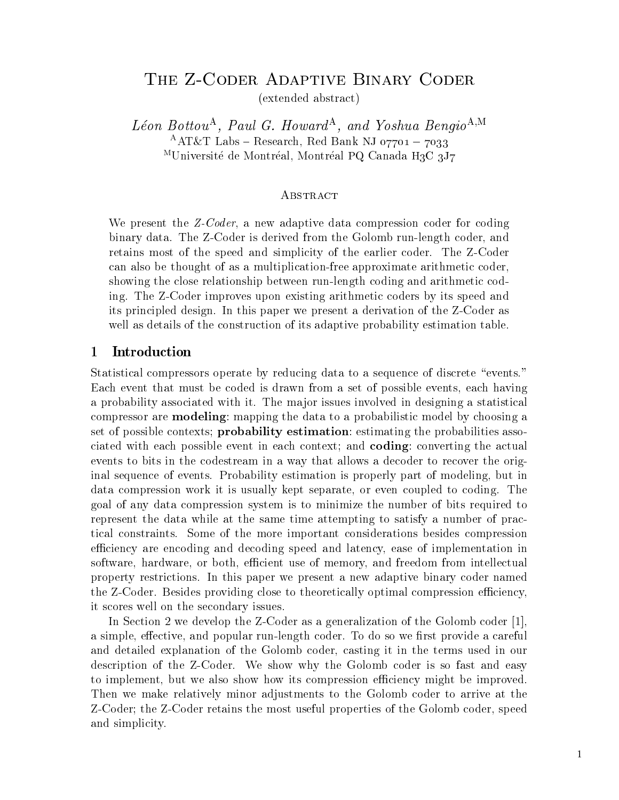# THE Z-CODER ADAPTIVE BINARY CODER

(extended abstract)

 $Leon$  Bottou-, Paul G. Howard-, and Yoshua Bengio- $\cdots$  $\text{FAL} \& \text{L}$  Labs  $\text{F}$  Research, Red Dank NJ 07701  $\text{F}$  7033 <sup>M</sup>Université de Montréal, Montréal PQ Canada H<sub>3</sub>C 3J7

## Abstract

We present the  $Z-Coder$ , a new adaptive data compression coder for coding binary data. The Z-Coder is derived from the Golomb run-length coder, and retains most of the speed and simplicity of the earlier coder. The Z-Coder can also be thought of as a multiplication-free approximate arithmetic coder, showing the close relationship between run-length coding and arithmetic coding. The Z-Coder improves upon existing arithmetic coders by its speed and its principled design. In this paper we present a derivation of the Z-Coder as well as details of the construction of its adaptive probability estimation table

#### $\mathbf 1$ Introduction

Statistical compressors operate by reducing data to a sequence of discrete "events." Each event that must be coded is drawn from a set of possible events, each having a probability associated with it The major issues involved in designing a statistical compressor are **modeling**: mapping the data to a probabilistic model by choosing a set of possible contexts; **probability estimation**: estimating the probabilities associated with each possible event in each context; and **coding**: converting the actual events to bits in the codestream in a way that allows a decoder to recover the orig inal sequence of events. Probability estimation is properly part of modeling, but in data compression work it is usually kept separate, or even coupled to coding. The goal of any data compression system is to minimize the number of bits required to represent the data while at the same time attempting to satisfy a number of prac tical constraints Some of the more important considerations besides compression efficiency are encoding and decoding speed and latency, ease of implementation in software, hardware, or both, efficient use of memory, and freedom from intellectual property restrictions In this paper we present a new adaptive binary coder named the Z-Coder. Besides providing close to theoretically optimal compression efficiency, it scores well on the secondary issues

In Section 2 we develop the Z-Coder as a generalization of the Golomb coder  $[1]$ , a simple, effective, and popular run-length coder. To do so we first provide a careful and detailed explanation of the Golomb coder, casting it in the terms used in our description of the Z-Coder. We show why the Golomb coder is so fast and easy to implement, but we also show how its compression efficiency might be improved. Then we make relatively minor adjustments to the Golomb coder to arrive at the Z-Coder; the Z-Coder retains the most useful properties of the Golomb coder, speed and simplicity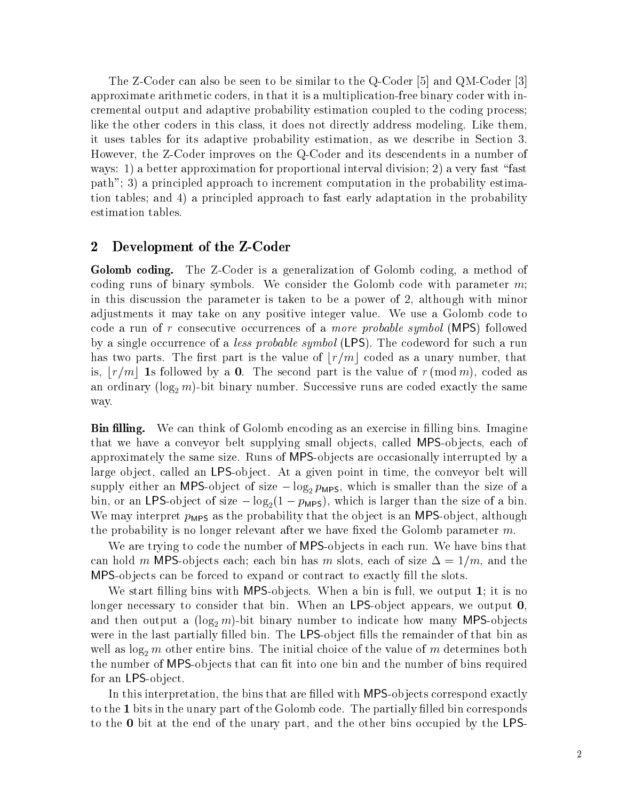The Z-Coder can also be seen to be similar to the Q-Coder  $|5|$  and QM-Coder  $|3|$ approximate arithmetic coders, in that it is a multiplication-free binary coder with incremental output and adaptive probability estimation coupled to the coding process like the other coders in this class, it does not directly address modeling. Like them, it uses tables for its adaptive probability estimation, as we describe in Section 3. However, the Z-Coder improves on the Q-Coder and its descendents in a number of ways - a better approximation for proportional interval division for proportional interval division of the second paths in the principled approach to increment computation in the probability estimation in the probability estimation tion tables and - a principled approach to fast early adaptation in the probability estimation tables

#### $\bf{2}$ Development of the Z-Coder

Golomb coding The ZCO discussion is a generalization of Golomb coding a method of method of  $\sim$ coding runs of binary symbols. We consider the Golomb code with parameter  $m$ ; in this discussion the parameter is taken to be a power of  $2$ , although with minor adjustments it may take on any positive integer value. We use a Golomb code to code a run of r complement occurrences of a more probable symbol (P.B. 4) followed a mo by a singletom occurrence of a less probable symbol (  $\pm$  ). First probable set where  $\pm$  such a run has two parts. The first part is the value of  $\lfloor r/m \rfloor$  coded as a unary number, that is,  $\lfloor r/m \rfloor$  1s followed by a 0. The second part is the value of  $r \, (\text{mod } m)$ , coded as and are  $\alpha$  in  $\alpha$  in  $\alpha$  , and are contributed exactly the same codes are contributed are contributed to  $\alpha$ way

**Din numg.** We can think of Golomb encoung as an exercise in ming bins. Thiaghie that we have a conveyor belt supplying small objects, called MPS-objects, each of approximately the same size. Runs of MPS-objects are occasionally interrupted by a large object, called an LPS-object. At a given point in time, the conveyor belt will supply either an MPS-object of size  $-\log_2 p_{\text{MPS}}$ , which is smaller than the size of a bin, or an LPS-object of size  $-\log_2(1-p<sub>MPS</sub>)$ , which is larger than the size of a bin. We may interpret  $p_{\text{MPS}}$  as the probability that the object is an MPS-object, although the probability is no longer relevant after we have fixed the Golomb parameter  $m$ .

We are trying to code the number of MPS-objects in each run. We have bins that can hold m MPS-objects each; each bin has m slots, each of size  $\Delta = 1/m$ , and the MPS-objects can be forced to expand or contract to exactly fill the slots.

We start filling bins with MPS-objects. When a bin is full, we output 1; it is no longer necessary to consider that bin. When an LPS-object appears, we output  $0$ . and the strip and  $\mathbf{r}$  are number to indicate to indicate the many  $\mathbf{r}$  and  $\mathbf{r}$  are number to indicate  $\mathbf{r}$ were in the last partially filled bin. The LPS-object fills the remainder of that bin as well as  $\log_2 m$  other entire bins. The initial choice of the value of m determines both the number of MPS-objects that can fit into one bin and the number of bins required for an LPS-object.

In this interpretation, the bins that are filled with MPS-objects correspond exactly to the 1 bits in the unary part of the Golomb code. The partially filled bin corresponds to the - bit at the the unary part and the unit and the unit of the other bins of the other leads the LPSS of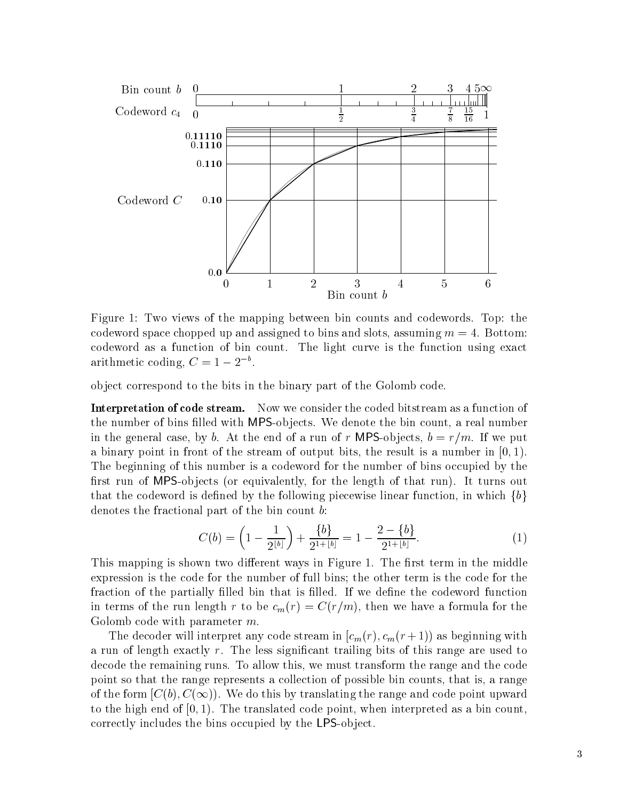

Figure 1: Two views of the mapping between bin counts and codewords. Top: the codeword space chopped up and assigned to bins and slots, assuming  $m = 4$ . Bottom: codeword as a function of bin count The light curve is the function using exact arithmetic coding,  $C = 1 - 2$ .

ob ject correspond to the bits in the binary part of the Golomb code

**Interpretation of code stream.** Now we consider the coded bitstream as a function of the number of bins filled with MPS-objects. We denote the bin count, a real number in the general case, by b. At the end of a run of r MPS-objects,  $b = r/m$ . If we put a binary point in front of the stream of output bits, the result is a number in  $[0, 1)$ . The beginning of this number is a codeword for the number of bins occupied by the rst run of MPSob jects or equivalently for the length of that run- It turns out that the codeword is defined by the following piecewise linear function, in which  $\{b\}$ denotes the fractional part of the bin count b:

$$
C(b) = \left(1 - \frac{1}{2^{\lfloor b \rfloor}}\right) + \frac{\{b\}}{2^{1 + \lfloor b \rfloor}} = 1 - \frac{2 - \{b\}}{2^{1 + \lfloor b \rfloor}}.\tag{1}
$$

This mapping is shown two different ways in Figure 1. The first term in the middle expression is the code for the number of full bins the other term is the code for the fraction of the partially filled bin that is filled. If we define the codeword function  $\mathbf{u}$  then  $\mathbf{u}$  run  $\mathbf{v}$  is the computation of the computation  $\mathbf{v}$ Golomb code with parameter  $m$ .

 $\Gamma$  as a coder with interpretation in coder  $\Gamma$  as beginning with  $\Gamma$  and  $\Gamma$  as beginning with  $\Gamma$ a run of length exactly  $r$ . The less significant trailing bits of this range are used to decode the remaining runs. To allow this, we must transform the range and the code point so that the range represents a collection of possible bin counts, that is, a range of the form  $|C(\emptyset),C(\infty)|$ . We do this by translating the range and code point upward to the translated code point when interpreted as a bin point when interpreted as a bin code point  $\mathbf{r}_i$ correctly includes the bins occupied by the LPS-object.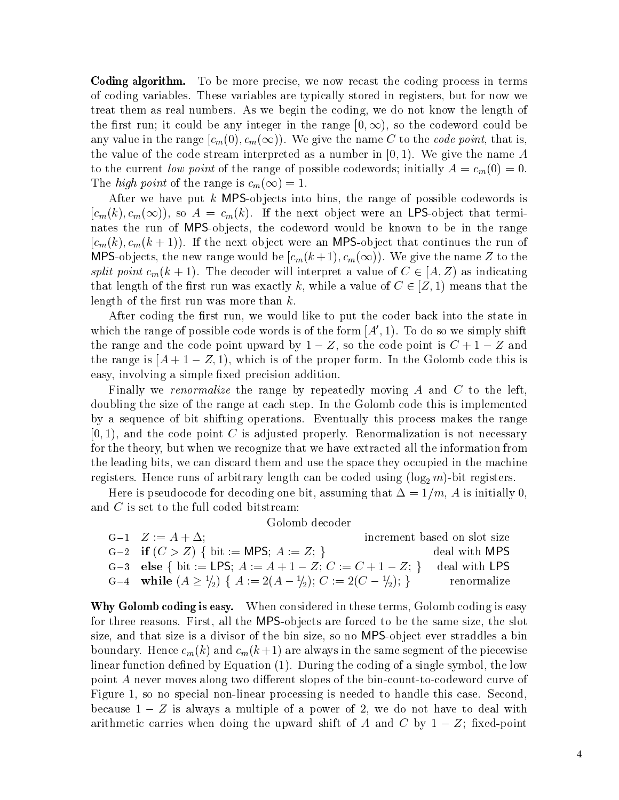Coding algorithm To be more precise we now recast the coding process in terms of coding variables. These variables are typically stored in registers, but for now we treat them as real numbers. As we begin the coding, we do not know the length of the first run; it could be any integer in the range  $|0,\infty)$ , so the codeword could be any value in the range  $\langle c_m(0),c_m(\infty)\rangle$ . We give the name  $C$  to the *code point*, that is, the value of the code stream interpreted as a number in -  $\alpha$  ,  $\alpha$  ,  $\alpha$  ,  $\alpha$  ,  $\alpha$  ,  $\alpha$  ,  $\alpha$ to the current low point of the range of possible codewords, influence,  $\mu$  and  $\mu$ The *high point* of the range is  $c_m(\infty) = 1$ .

After we have put k MPS-objects into bins, the range of possible codewords is  $|c_m(k), c_m(\infty)|$ , so  $A = c_m(k)$ . If the next object were an LPS-object that terminates the run of MPS-objects, the codeword would be known to be in the range , and if the next observe the next observed the next observed that continues the run of the run of the run of t IMPS-objects, the new range would be  $|c_m(k+1),c_m(\infty)|$ . We give the name  $Z$  to the split point  $c_m(k+1)$ . The decoder will interpret a value of  $C \in (A, Z)$  as indicating that length of the first run was exactly k, while a value of  $C \in \{Z, 1\}$  means that the length of the first run was more than  $k$ .

After coding the first run, we would like to put the coder back into the state in which the range of possible code words is of the form  $A_+$  (Fig. 10 do so we simply shift the range and the code point upward by  $1 - Z$ , so the code point is  $C + 1 - Z$  and the range is  $\Delta + 1 = \mathbb{Z}, 1$ , which is or the proper form. In the Golomb code this is easy, involving a simple fixed precision addition.

Finally we renormalize the range by repeatedly moving  $A$  and  $C$  to the left, doubling the size of the range at each step. In the Golomb code this is implemented by a sequence of bit shifting operations Eventually this process makes the range , and the code point code point C is adjusted properly reading the community of the code properly  $\mathcal{C}$ for the theory, but when we recognize that we have extracted all the information from the leading bits, we can discard them and use the space they occupied in the machine registers Hence runs of arbitrary length can be coded using log m-bit registers

Here is pseudocode for decoding one bit, assuming that  $\Delta = 1/m$ , A is initially 0, and  $C$  is set to the full coded bitstream:

Golomb decoder

| $G-1$ $Z := A + \Delta$ ;                                                                | increment based on slot size |
|------------------------------------------------------------------------------------------|------------------------------|
| $G-2$ if $(C > Z)$ { bit := MPS; $A := Z$ ; }                                            | deal with MPS                |
| G-3 else { bit := LPS; $A := A + 1 - Z$ ; $C := C + 1 - Z$ ; } deal with LPS             |                              |
| G-4 while $(A \geq \frac{1}{2}) \{ A := 2(A - \frac{1}{2}); C := 2(C - \frac{1}{2}); \}$ | - renormalize-               |

Why Golomb county is easy. When considered in these terms, Golomb county is easy for three reasons. First, all the MPS-objects are forced to be the same size, the slot size, and that size is a divisor of the bin size, so no MPS-object ever straddles a bin boundary Hence campus - and computer and computer in the same series of the same series in the piecewise compu linear function density  $\mathcal{L} = \eta$  interests  $\mathcal{L} = \eta$  . In single symbol the low-distribution symbol the lowpoint A never moves along two different slopes of the bin-count-to-codeword curve of Figure 1, so no special non-linear processing is needed to handle this case. Second, because  $1 - Z$  is always a multiple of a power of 2, we do not have to deal with arithmetic carries when doing the upward shift of A and C by  $1-Z$ ; fixed-point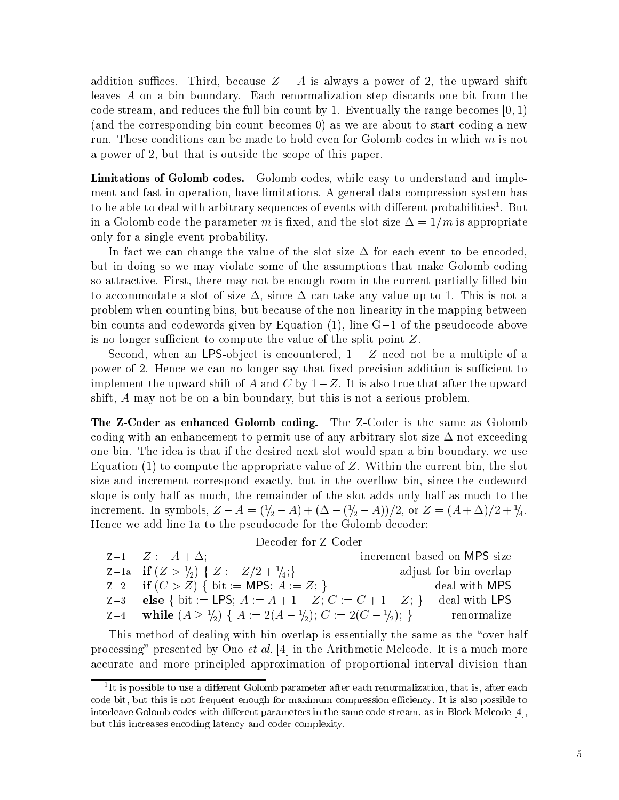addition suffices. Third, because  $Z - A$  is always a power of 2, the upward shift leaves A on a bin boundary. Each renormalization step discards one bit from the code stream, and reduces the full bin count by 1. Eventually the range becomes  $[0, 1)$ and the corresponding bin count becomes and about to start contract to start contract to start contract and the run. These conditions can be made to hold even for Golomb codes in which  $m$  is not a power of 2, but that is outside the scope of this paper.

Limitations of Golomb codes Golomb codes while easy to understand and imple ment and fast in operation, have limitations. A general data compression system has to be able to deal with arbitrary sequences of events with different probabilities . Dut in a Golomb code the parameter m is fixed, and the slot size  $\Delta = 1/m$  is appropriate only for a single event probability

In fact we can change the value of the slot size  $\Delta$  for each event to be encoded, but in doing so we may violate some of the assumptions that make Golomb coding so attractive. First, there may not be enough room in the current partially filled bin to accommodate a slot of size  $\Delta$ , since  $\Delta$  can take any value up to 1. This is not a problem when counting bins, but because of the non-linearity in the mapping between bin counts and codewords given by Equation - line G of the pseudocode above is no longer sufficient to compute the value of the split point  $Z$ .

Second, when an LPS-object is encountered,  $1 - Z$  need not be a multiple of a power of 2. Hence we can no longer say that fixed precision addition is sufficient to implement the upward shift of A and C by  $1-Z$ . It is also true that after the upward shift,  $A$  may not be on a bin boundary, but this is not a serious problem.

The ZCoder as enhanced Golomb coding The ZCoder is the same as Golomb coding with an enhancement to permit use of any arbitrary slot size  $\Delta$  not exceeding one bin The idea is that if the desired next slot would span a bin boundary we use Equation - to compute the appropriate value of Z Within the current bin the slot size and increment correspond exactly, but in the overflow bin, since the codeword slope is only half as much the remainder of the slot adds only half as much to the increment. In symbols,  $Z - A = (\gamma_2 - A) + (\Delta - (\gamma_2 - A))/2$ , or  $Z = (A + \Delta)/2 + \gamma_4$ . Hence we add line 1a to the pseudocode for the Golomb decoder:

### Decoder for Z-Coder

| $Z-1$ $Z := A + \Delta$ ;                                                    | increment based on MPS size |
|------------------------------------------------------------------------------|-----------------------------|
| Z-1a if $(Z > \frac{1}{2}) \{ Z := Z/2 + \frac{1}{4}; \}$                    | adjust for bin overlap      |
| $Z-2$ if $(C > Z)$ { bit := MPS; $A := Z$ ; }                                | deal with MPS               |
| Z-3 else { bit := LPS; $A := A + 1 - Z$ ; $C := C + 1 - Z$ ; }               | deal with LPS               |
| Z-4 while $(A \ge 1/2)$ $\{A := 2(A - 1/2); C := 2(C - 1/2); \}$ renormalize |                             |

This method of dealing with bin overlap is essentially the same as the "over-half  $p_1$ ocessing –  $p_1$ esented by Ono et  $u_t$ . [4] in the Arithmetic Melcode. It is a much more accurate and more principled approximation of proportional interval division than

It is possible to use a different Golomb parameter after each renormalization, that is, after each code bit, but this is not frequent enough for maximum compression efficiency. It is also possible to interleave Golomb codes with dierent parameters in the same code stream as in Block Melcode but this increases encoding latency and coder complexity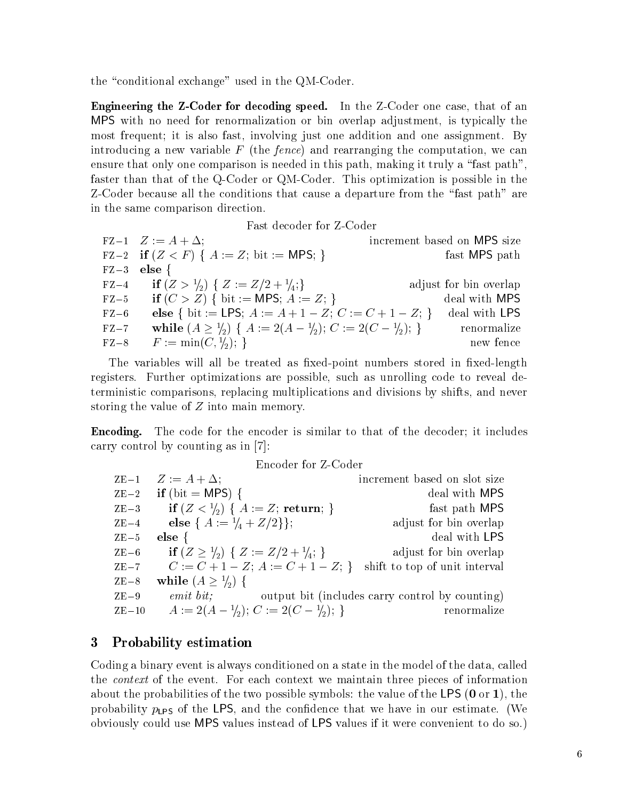the  $\mathcal{L}$  the  $\mathcal{L}$  and  $\mathcal{L}$  and  $\mathcal{L}$  and  $\mathcal{L}$  and  $\mathcal{L}$  and  $\mathcal{L}$  and  $\mathcal{L}$  and  $\mathcal{L}$  and  $\mathcal{L}$  and  $\mathcal{L}$  and  $\mathcal{L}$  and  $\mathcal{L}$  and  $\mathcal{L}$  and  $\mathcal{L}$  and  $\mathcal{L}$  and  $\mathcal{L}$ 

Engineering the ZCoder for decoding speed In the ZCoder one case that of an MPS with no need for renormalization or bin overlap adjustment, is typically the most frequent; it is also fast, involving just one addition and one assignment. By introducing a new variable F the fence- and rearranging the computation we can ensure that only one comparison is needed in this path, making it truly a "fast path". faster than that of the Q-Coder or QM-Coder. This optimization is possible in the ZCoder because all the conditions that cause a departure from the fast path are in the same comparison direction

Fast decoder for Z-Coder

 $FZ-1$   $Z := A + \Delta$ ;  $FZ-2$ if  $(Z < F)$  {  $A := Z$ ; bit := MPS; } fast MPS path  $FZ - 3$  else { FZ-4 **if**  $(Z > 1/2)$  {  $Z := Z/2 + 1/4;$ } adjust for bin overlap FZ-5 if  $(C > Z)$  { bit := MPS;  $A := Z$ ; } deal with MPS FZ-6 else { bit := LPS;  $A := A + 1 - Z$ ;  $C := C + 1 - Z$ ; } deal with LPS FZ-7 while  $(A \geq \frac{1}{2})$  {  $A := 2(A - \frac{1}{2}); C := 2(C - \frac{1}{2});$  } renormalize  $\Gamma L = \delta$   $I'$   $\cdot = \min(\cup, \frac{1}{2}),$ new fence

The variables will all be treated as fixed-point numbers stored in fixed-length registers. Further optimizations are possible, such as unrolling code to reveal deterministic comparisons replacing multiplications and divisions by shifts and never storing the value of  $Z$  into main memory.

EncodingThe code for the encoder is similar to that of the decoder; it includes carry control by counting as in [7]:

Encoder for Z-Coder

| $ZE-1$  | $Z := A + \Delta$ ;                                    | increment based on slot size                    |  |
|---------|--------------------------------------------------------|-------------------------------------------------|--|
| $ZE-2$  | if (bit = MPS) {                                       | deal with MPS                                   |  |
| $ZE-3$  | if $(Z < 1/2)$ { $A := Z$ ; return; }                  | fast path MPS                                   |  |
| $ZE-4$  | else { $A := \frac{1}{4} + \frac{Z}{2}$ };             | adjust for bin overlap                          |  |
| $ZE-5$  | else $\{$                                              | deal with LPS                                   |  |
| $ZE-6$  | if $(Z \ge \frac{1}{2}) \{ Z := Z/2 + \frac{1}{4}; \}$ | adjust for bin overlap                          |  |
| $ZE-7$  | $C := C + 1 - Z$ ; $A := C + 1 - Z$ ; }                | shift to top of unit interval                   |  |
| $ZE-8$  | while $(A \geq \frac{1}{2})$ {                         |                                                 |  |
| $ZE-9$  | $emit\;bit;$                                           | output bit (includes carry control by counting) |  |
| $ZE-10$ | $A := 2(A - \frac{1}{2}); C := 2(C - \frac{1}{2});$    | renormalize                                     |  |

# 3 Probability estimation

Coding a binary event is always conditioned on a state in the model of the data called the *context* of the event. For each context we maintain three pieces of information about the probabilities of the two possible symbols the value of the LPS - LPS - LPS - LPS - LPS - LPS - LPS probability  $p_{LPS}$  of the LPS, and the confidence that we have in our estimate. (We obviously could use MPS values instead of LPS values if it were convenient to do so-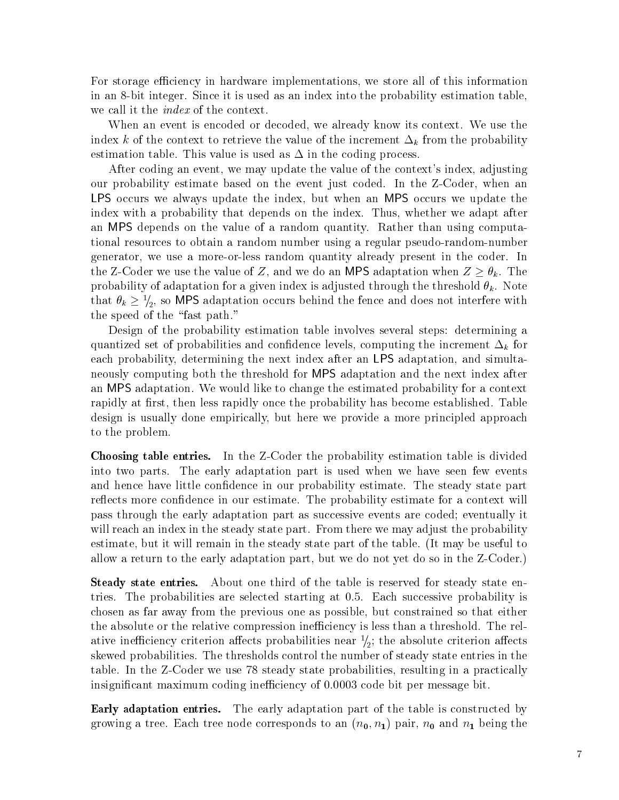For storage efficiency in hardware implementations, we store all of this information in an 8-bit integer. Since it is used as an index into the probability estimation table. we call it the *index* of the context.

When an event is encoded or decoded, we already know its context. We use the index k of the context to retrieve the value of the increment  $\Delta_k$  from the probability estimation table. This value is used as  $\Delta$  in the coding process.

After coding an event, we may update the value of the context's index, adjusting our probability estimate based on the event just coded. In the Z-Coder, when an LPS occurs we always update the index, but when an MPS occurs we update the index with a probability that depends on the index. Thus, whether we adapt after an MPS depends on the value of a random quantity. Rather than using computational resources to obtain a random number using a regular pseudo-random-number generator, we use a more-or-less random quantity already present in the coder. In the Z-Coder we use the value of Z, and we do an MPS adaptation when  $Z \geq \theta_k$ . The probability of a given in the form in the three distribution in any model is added that the threshold  $\mu$  is a contract through that  $\theta_k \geq \frac{1}{2}$ , so MPS adaptation occurs behind the fence and does not interfere with the speed of the "fast path."

Design of the probability estimation table involves several steps: determining a quantized set of probabilities and confidence levels, computing the increment  $\Delta_k$  for each probability, determining the next index after an LPS adaptation, and simultaneously computing both the threshold for MPS adaptation and the next index after an MPS adaptation. We would like to change the estimated probability for a context rapidly at first, then less rapidly once the probability has become established. Table design is usually done empirically but here we provide a more principled approach to the problem

Choosing the Choosing table entries In the Probability of the probability estimation the probability estimation into two parts. The early adaptation part is used when we have seen few events and hence have little confidence in our probability estimate. The steady state part reflects more confidence in our estimate. The probability estimate for a context will pass through the early adaptation part as successive events are coded eventually it will reach an index in the steady state part. From there we may adjust the probability estimate, but it will remain in the steady state part of the table. (It may be useful to allow a return to the early adaptation part, but we do not yet do so in the Z-Coder.)

Steady state entries About one third of the table is reserved for steady state en tries. The probabilities are selected starting at  $0.5$ . Each successive probability is chosen as far away from the previous one as possible but constrained so that either the absolute or the relative compression inefficiency is less than a threshold. The relative ineniciency criterion anects probabilities near  $\gamma_2$ , the absolute criterion anects skewed probabilities The thresholds control the number of steady state entries in the table. In the Z-Coder we use 78 steady state probabilities, resulting in a practically insignificant maximum coding inefficiency of 0.0003 code bit per message bit.

Early adaptation entries The early adaptation part of the table is constructed by  $\mathbf{p}$  tree each tree node corresponds to an interval of the corresponds to an interval of the corresponds to an interval of the corresponds to an interval of the corresponds to an interval of the corresponds to an inte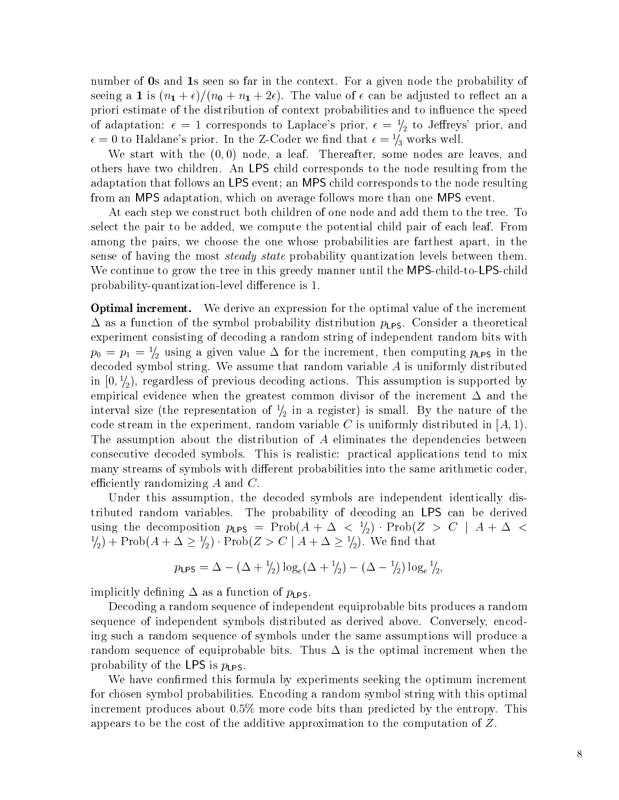number of -s seems the context For and the context Form in the context Form in the probability of the probabili seeing a is n- -n n- - The value of can be adjusted to reect an a priori estimate of the distribution of context probabilities and to influence the speed of adaptation:  $\epsilon = 1$  corresponds to Laplace's prior,  $\epsilon = \frac{1}{2}$  to Jenreys prior, and  $\epsilon = 0$  to Haldane's prior. In the Z-Coder we not that  $\epsilon = \frac{1}{3}$  works well.

with the start with the start some some some some nodes are leaves and there is a leaves and the leaves are le others have two children An LPS child corresponds to the node resulting from the adaptation that follows an LPS event; an MPS child corresponds to the node resulting from an MPS adaptation, which on average follows more than one MPS event.

At each step we construct both children of one node and add them to the tree. To select the pair to be added, we compute the potential child pair of each leaf. From among the pairs, we choose the one whose probabilities are farthest apart, in the sense of having the most *steady state* probability quantization levels between them. We continue to grow the tree in this greedy manner until the MPS-child-to-LPS-child probability-quantization-level difference is 1.

Optimal increment We derive an expression for the optimal value of the increment  $\Delta$  as a function of the symbol probability distribution  $p_{LPS}$ . Consider a theoretical experiment consisting of decoding a random string of independent random bits with  $p_0 = p_1 - p_2$  using a given value  $\Delta$  for the increment, then computing  $p_L$ ps in the decoded symbol string. We assume that random variable  $A$  is uniformly distributed in  $[0, 7<sub>2</sub>)$ , regardless of previous decoding actions. This assumption is supported by empirical evidence when the greatest common divisor of the increment  $\Delta$  and the interval size (the representation of  $\gamma_2$  in a register) is small. By the nature of the code stream in the experiment, random variable C is uniformly distributed in  $[A, 1]$ . The assumption about the distribution of A eliminates the dependencies between consecutive decoded symbols. This is realistic: practical applications tend to mix many streams of symbols with different probabilities into the same arithmetic coder, efficiently randomizing  $A$  and  $C$ .

Under this assumption, the decoded symbols are independent identically distributed random variables. The probability of decoding an LPS can be derived using the decomposition  $p_{LPS}$  = Prob $(A + \Delta < \frac{1}{2})$ . Prob $(Z > C | A + \Delta <$  $\binom{1}{2}$  + Prob $(A + \Delta \geq \frac{1}{2})$  · Prob $(Z > C \mid A + \Delta \geq \frac{1}{2})$ . We find that

$$
p_{\text{LPS}} = \Delta - (\Delta + \frac{1}{2}) \log_e(\Delta + \frac{1}{2}) - (\Delta - \frac{1}{2}) \log_e \frac{1}{2},
$$

implicitly defining  $\Delta$  as a function of  $p_{LPS}$ .

Decoding a random sequence of independent equiprobable bits produces a random sequence of independent symbols distributed as derived above. Conversely, encoding such a random sequence of symbols under the same assumptions will produce a random sequence of equiprobable bits. Thus  $\Delta$  is the optimal increment when the probability of the LPS is  $p_{LPS}$ .

We have confirmed this formula by experiments seeking the optimum increment for chosen symbol probabilities Encoding a random symbol string with this optimal increment produces about  $0.5\%$  more code bits than predicted by the entropy. This appears to be the cost of the additive approximation to the computation of  $Z$ .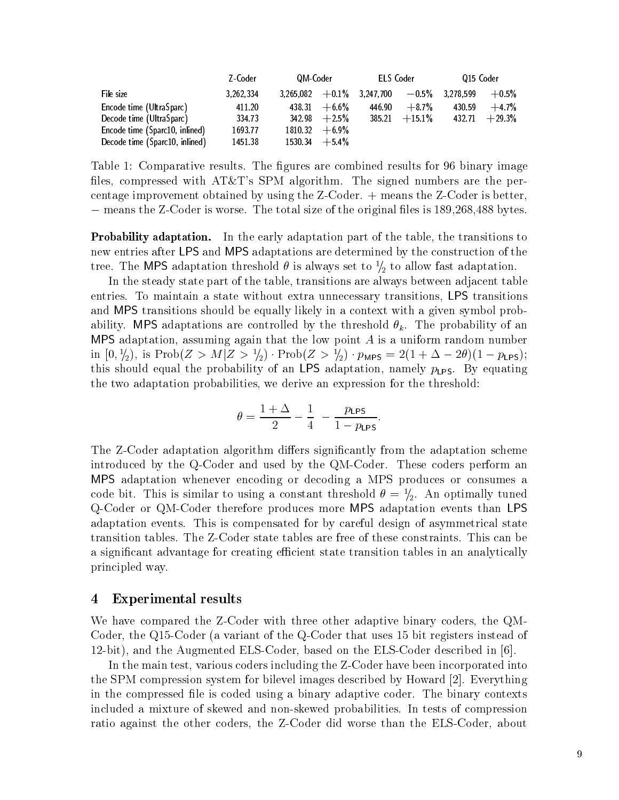|                          |                                | Z Coder   | QM Coder |                  | ELS Coder                                             |          | 015 Coder |          |
|--------------------------|--------------------------------|-----------|----------|------------------|-------------------------------------------------------|----------|-----------|----------|
| File size                |                                | 3 262 334 |          |                  | $3,265,082$ $+0.1\%$ $3,247,700$ $-0.5\%$ $3,278,599$ |          |           | $+0.5%$  |
| Encode time (UltraSparc) |                                | 411 20    | 438.31   | $+6.6\%$         | 446.90                                                | $+8.7%$  | 430.59    | $+47%$   |
| Decode time (UltraSparc) |                                | 334 73    |          | $342.98 + 2.5\%$ | 385 21                                                | $+15.1%$ | 432.71    | $+29.3%$ |
|                          | Encode time (Sparc10, inlined) | 1693 77   |          | $181032 + 69\%$  |                                                       |          |           |          |
|                          | Decode time (Sparc10, inlined) | 145138    |          | $153034 + 54\%$  |                                                       |          |           |          |

Table 1: Comparative results. The figures are combined results for 96 binary image files, compressed with  $AT\&T$ 's SPM algorithm. The signed numbers are the percentage improvement obtained by using the  $Z$ -Coder.  $+$  means the  $Z$ -Coder is better,  $-$  means the Z-Coder is worse. The total size of the original lifes is 109,200,400 bytes.

**I** FOD ADILITY **ADAPTATION.** IN the early adaptation part of the table, the transitions to new entries after LPS and MPS adaptations are determined by the construction of the tree. The MPS adaptation threshold  $\theta$  is always set to  $\gamma_2$  to allow fast adaptation.

In the steady state part of the table, transitions are always between adjacent table entries. To maintain a state without extra unnecessary transitions, LPS transitions and MPS transitions should be equally likely in a context with a given symbol prob ability MPS additional message  $\sim$  threshold by the threshold by the probability of an exception  $\sim$ MPS adaptation, assuming again that the low point  $A$  is a uniform random number in  $[0, \frac{1}{2})$ , is Prob $(Z > M | Z > \frac{1}{2}) \cdot$ Prob $(Z > \frac{1}{2}) \cdot p_{\text{MPS}} = 2(1 + \Delta - 2\theta)(1 - p_{\text{LPS}});$ this should equal the probability of an LPS adaptation, namely  $p_{LPS}$ . By equating the two adaptation probabilities, we derive an expression for the threshold:

$$
\theta = \frac{1+\Delta}{2} - \frac{1}{4} - \frac{p_{\text{LPS}}}{1-p_{\text{LPS}}}.
$$

The Z-Coder adaptation algorithm differs significantly from the adaptation scheme introduced by the Q-Coder and used by the QM-Coder. These coders perform an MPS adaptation whenever encoding or decoding a MPS produces or consumes a code bit. This is similar to using a constant threshold  $v = \frac{1}{2}$ . An optimally tuned Q-Coder or QM-Coder therefore produces more MPS adaptation events than LPS adaptation events. This is compensated for by careful design of asymmetrical state transition tables. The Z-Coder state tables are free of these constraints. This can be a significant advantage for creating efficient state transition tables in an analytically principled way

# Experimental results

We have compared the Z-Coder with three other adaptive binary coders, the QM-Coder, the Q15-Coder (a variant of the Q-Coder that uses  $15$  bit registers instead of bit- and the Augmented ELSCoder based on the ELSCoder described in

In the main test, various coders including the Z-Coder have been incorporated into the SPM compression system for bilevel images described by Howard  $[2]$ . Everything in the compressed file is coded using a binary adaptive coder. The binary contexts included a mixture of skewed and nonskewed probabilities In tests of compression ratio against the other coders, the Z-Coder did worse than the ELS-Coder, about